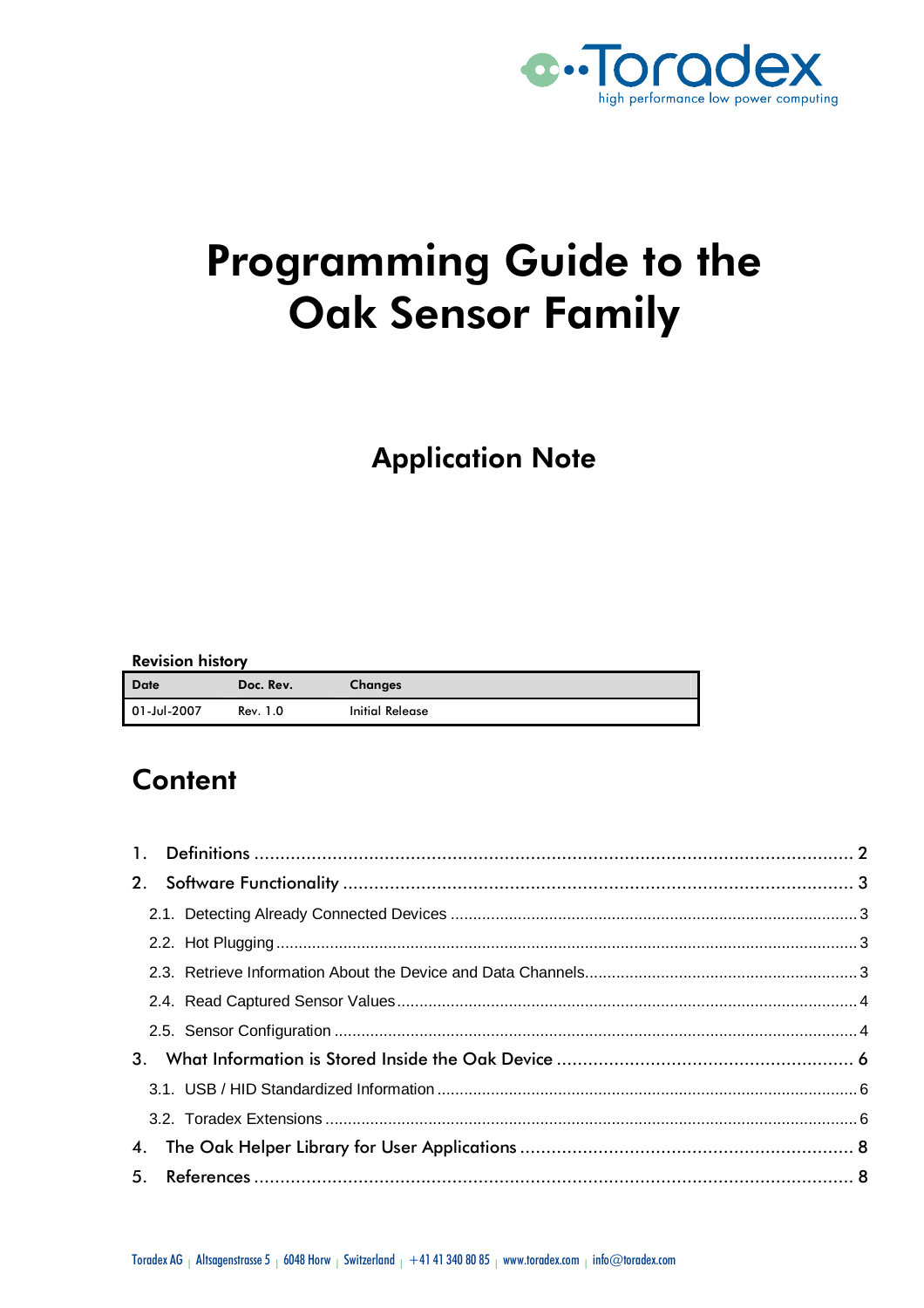

# Programming Guide to the Oak Sensor Family

# **Application Note**

#### Revision history

| <b>Date</b> | Doc. Rev. | <b>Changes</b>         |
|-------------|-----------|------------------------|
| 01-Jul-2007 | Rev. 1.0  | <b>Initial Release</b> |

# **Content**

| 2.      |  |
|---------|--|
|         |  |
|         |  |
|         |  |
|         |  |
|         |  |
| $3_{-}$ |  |
|         |  |
|         |  |
|         |  |
|         |  |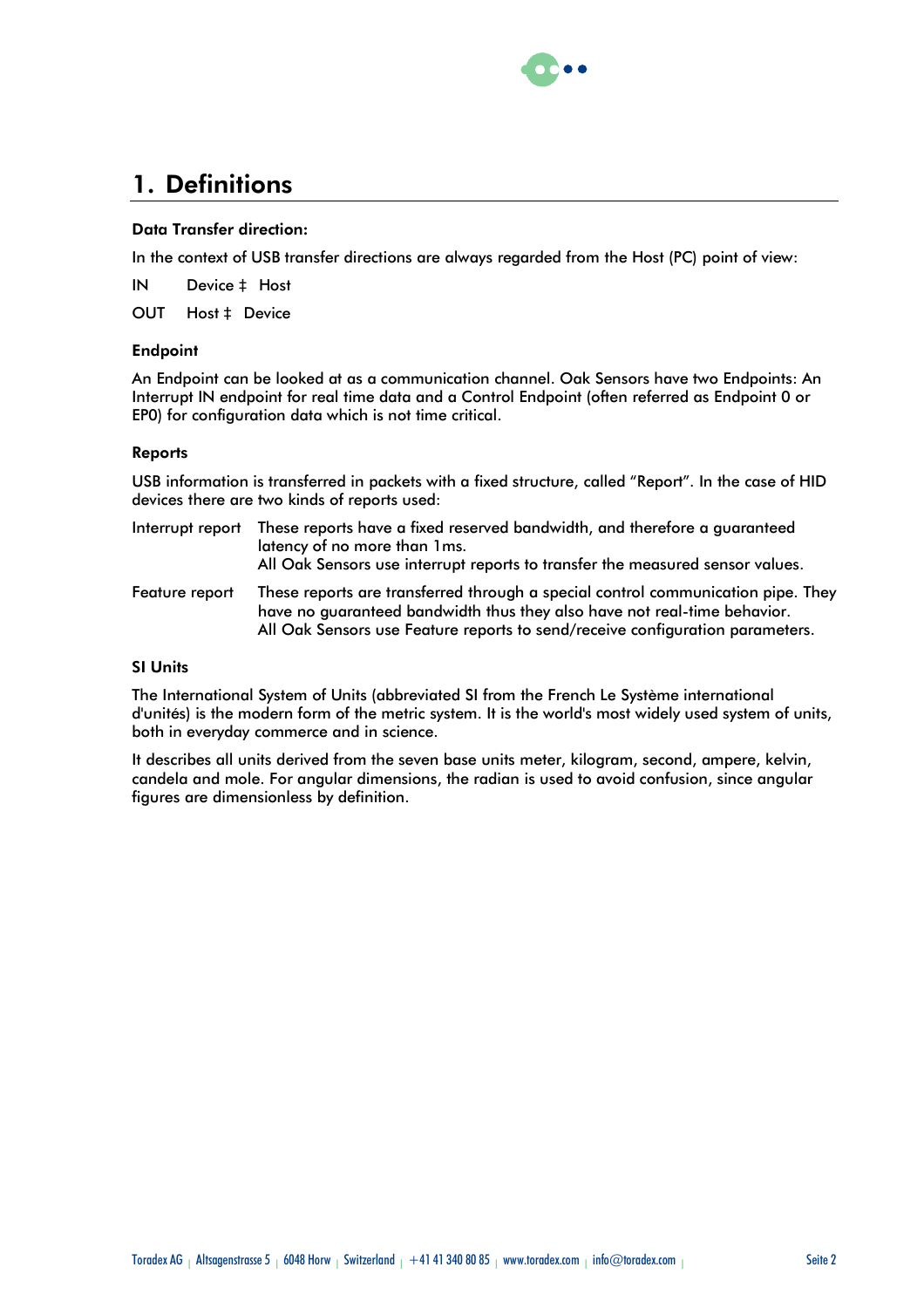

# 1. Definitions

#### Data Transfer direction:

In the context of USB transfer directions are always regarded from the Host (PC) point of view:

IN Device à Host

OUT Host à Device

#### **Endpoint**

An Endpoint can be looked at as a communication channel. Oak Sensors have two Endpoints: An Interrupt IN endpoint for real time data and a Control Endpoint (often referred as Endpoint 0 or EP0) for configuration data which is not time critical.

#### Reports

USB information is transferred in packets with a fixed structure, called "Report". In the case of HID devices there are two kinds of reports used:

|                | Interrupt report These reports have a fixed reserved bandwidth, and therefore a guaranteed<br>latency of no more than 1ms.<br>All Oak Sensors use interrupt reports to transfer the measured sensor values. |
|----------------|-------------------------------------------------------------------------------------------------------------------------------------------------------------------------------------------------------------|
| Feature report | These reports are transferred through a special control communication pipe. They<br>have no guaranteed bandwidth thus they also have not real-time behavior.                                                |

SI Units

The International System of Units (abbreviated SI from the French Le Système international d'unités) is the modern form of the metric system. It is the world's most widely used system of units, both in everyday commerce and in science.

All Oak Sensors use Feature reports to send/receive configuration parameters.

It describes all units derived from the seven base units meter, kilogram, second, ampere, kelvin, candela and mole. For angular dimensions, the radian is used to avoid confusion, since angular figures are dimensionless by definition.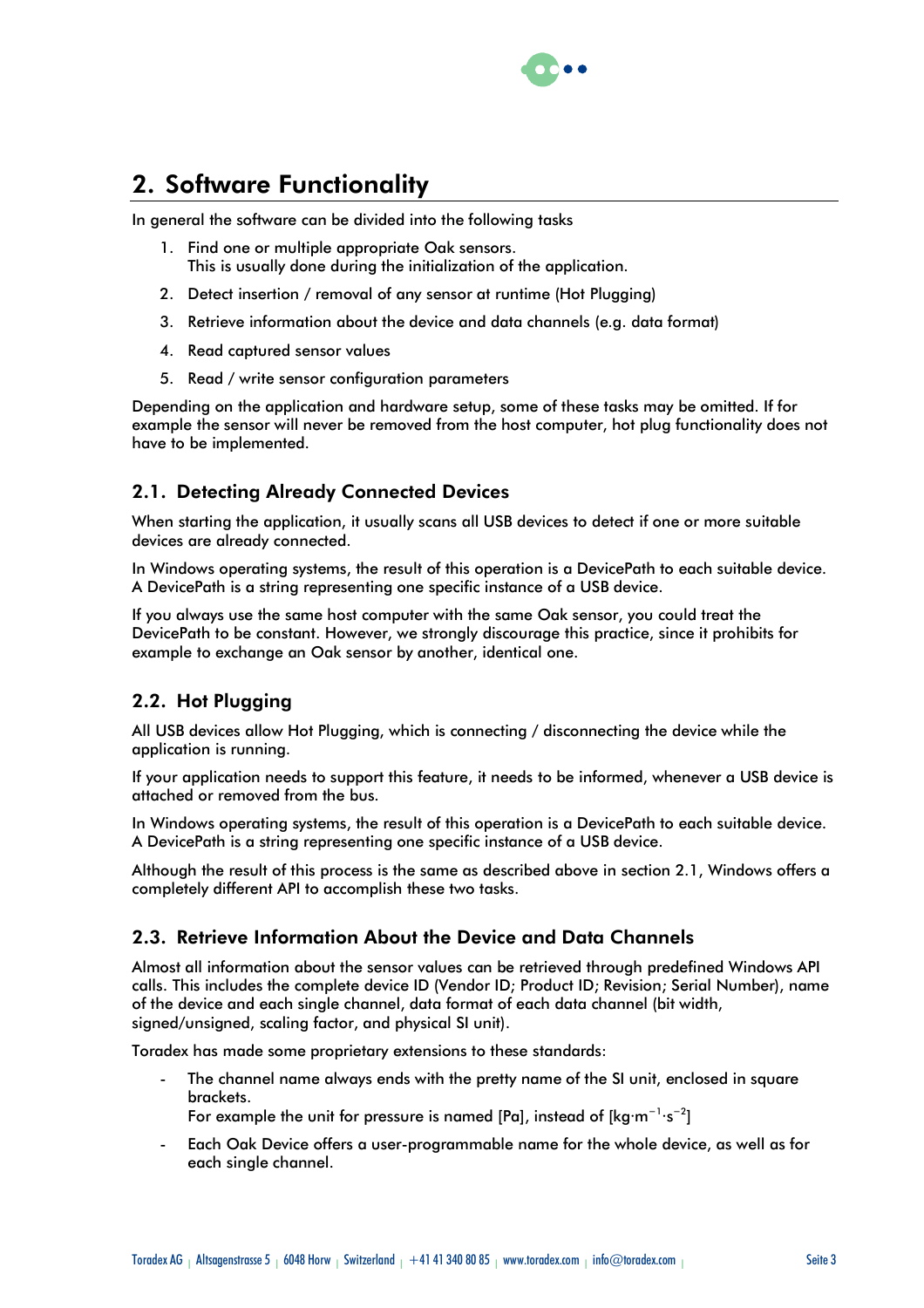

# 2. Software Functionality

In general the software can be divided into the following tasks

- 1. Find one or multiple appropriate Oak sensors. This is usually done during the initialization of the application.
- 2. Detect insertion / removal of any sensor at runtime (Hot Plugging)
- 3. Retrieve information about the device and data channels (e.g. data format)
- 4. Read captured sensor values
- 5. Read / write sensor configuration parameters

Depending on the application and hardware setup, some of these tasks may be omitted. If for example the sensor will never be removed from the host computer, hot plug functionality does not have to be implemented.

# 2.1. Detecting Already Connected Devices

When starting the application, it usually scans all USB devices to detect if one or more suitable devices are already connected.

In Windows operating systems, the result of this operation is a DevicePath to each suitable device. A DevicePath is a string representing one specific instance of a USB device.

If you always use the same host computer with the same Oak sensor, you could treat the DevicePath to be constant. However, we strongly discourage this practice, since it prohibits for example to exchange an Oak sensor by another, identical one.

# 2.2. Hot Plugging

All USB devices allow Hot Plugging, which is connecting / disconnecting the device while the application is running.

If your application needs to support this feature, it needs to be informed, whenever a USB device is attached or removed from the bus.

In Windows operating systems, the result of this operation is a DevicePath to each suitable device. A DevicePath is a string representing one specific instance of a USB device.

Although the result of this process is the same as described above in section 2.1, Windows offers a completely different API to accomplish these two tasks.

### 2.3. Retrieve Information About the Device and Data Channels

Almost all information about the sensor values can be retrieved through predefined Windows API calls. This includes the complete device ID (Vendor ID; Product ID; Revision; Serial Number), name of the device and each single channel, data format of each data channel (bit width, signed/unsigned, scaling factor, and physical SI unit).

Toradex has made some proprietary extensions to these standards:

The channel name always ends with the pretty name of the SI unit, enclosed in square brackets.

For example the unit for pressure is named [Pa], instead of  $\text{[kg}\cdot\text{m}^{-1}\cdot\text{s}^{-2}\text{]}$ 

- Each Oak Device offers a user-programmable name for the whole device, as well as for each single channel.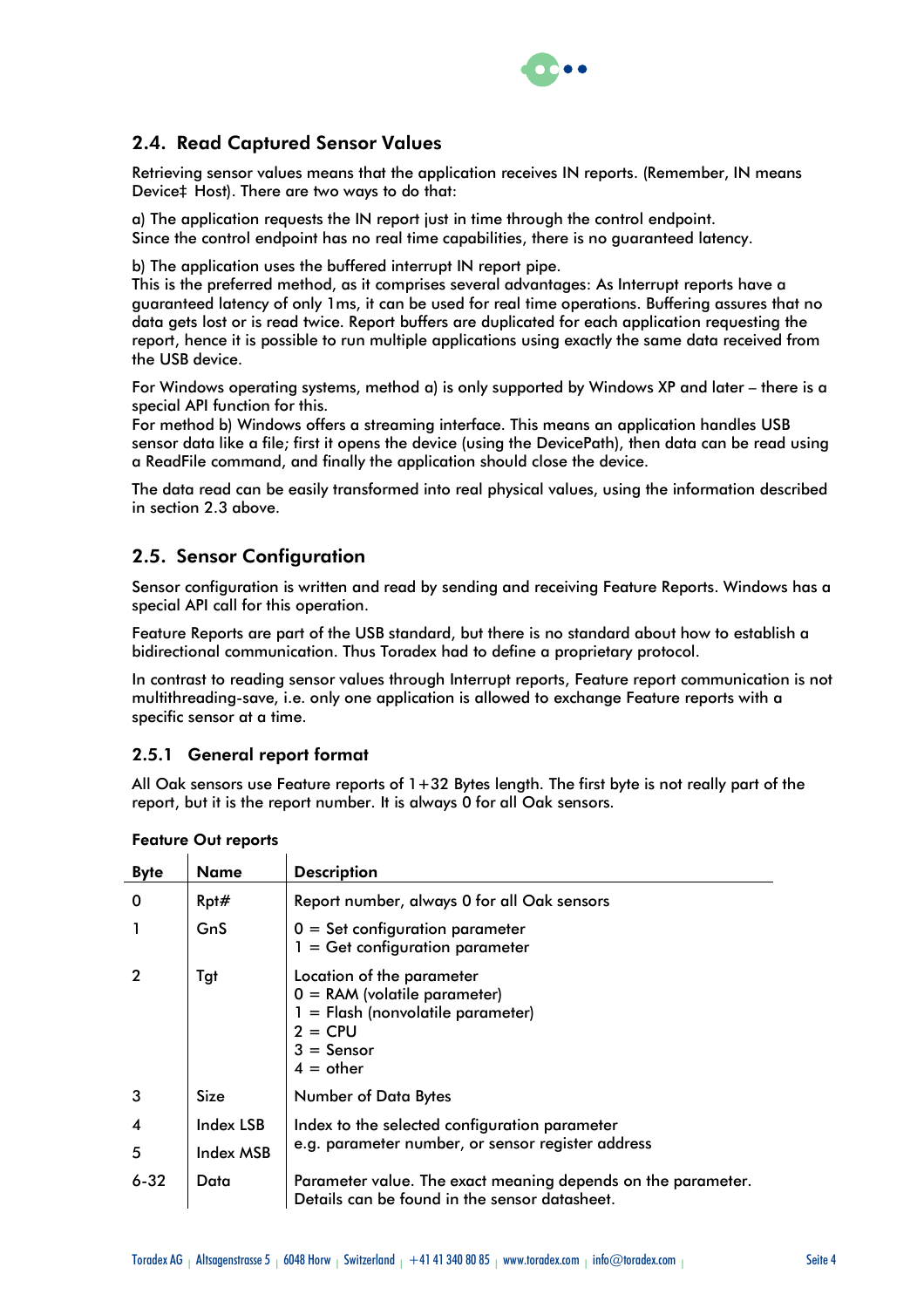

# 2.4. Read Captured Sensor Values

Retrieving sensor values means that the application receives IN reports. (Remember, IN means Deviceà Host). There are two ways to do that:

a) The application requests the IN report just in time through the control endpoint. Since the control endpoint has no real time capabilities, there is no guaranteed latency.

b) The application uses the buffered interrupt IN report pipe.

This is the preferred method, as it comprises several advantages: As Interrupt reports have a guaranteed latency of only 1ms, it can be used for real time operations. Buffering assures that no data gets lost or is read twice. Report buffers are duplicated for each application requesting the report, hence it is possible to run multiple applications using exactly the same data received from the USB device.

For Windows operating systems, method a) is only supported by Windows XP and later – there is a special API function for this.

For method b) Windows offers a streaming interface. This means an application handles USB sensor data like a file; first it opens the device (using the DevicePath), then data can be read using a ReadFile command, and finally the application should close the device.

The data read can be easily transformed into real physical values, using the information described in section 2.3 above.

# 2.5. Sensor Configuration

Sensor configuration is written and read by sending and receiving Feature Reports. Windows has a special API call for this operation.

Feature Reports are part of the USB standard, but there is no standard about how to establish a bidirectional communication. Thus Toradex had to define a proprietary protocol.

In contrast to reading sensor values through Interrupt reports, Feature report communication is not multithreading-save, i.e. only one application is allowed to exchange Feature reports with a specific sensor at a time.

### 2.5.1 General report format

All Oak sensors use Feature reports of  $1+32$  Bytes length. The first byte is not really part of the report, but it is the report number. It is always 0 for all Oak sensors.

| <b>Byte</b> | <b>Name</b>      | <b>Description</b>                                                                                                                             |
|-------------|------------------|------------------------------------------------------------------------------------------------------------------------------------------------|
| 0           | Rpt#             | Report number, always 0 for all Oak sensors                                                                                                    |
|             | GnS              | $0 =$ Set configuration parameter<br>$1 = Get configuration parameter$                                                                         |
|             | Tgt              | Location of the parameter<br>$0 = RAM$ (volatile parameter)<br>$1 =$ Flash (nonvolatile parameter)<br>$2 = CPU$<br>$3 =$ Sensor<br>$4 =$ other |
| 3           | Size             | Number of Data Bytes                                                                                                                           |
| 4           | <b>Index LSB</b> | Index to the selected configuration parameter                                                                                                  |
| 5           | Index MSB        | e.g. parameter number, or sensor register address                                                                                              |
| $6 - 32$    | Data             | Parameter value. The exact meaning depends on the parameter.<br>Details can be found in the sensor datasheet.                                  |

#### Feature Out reports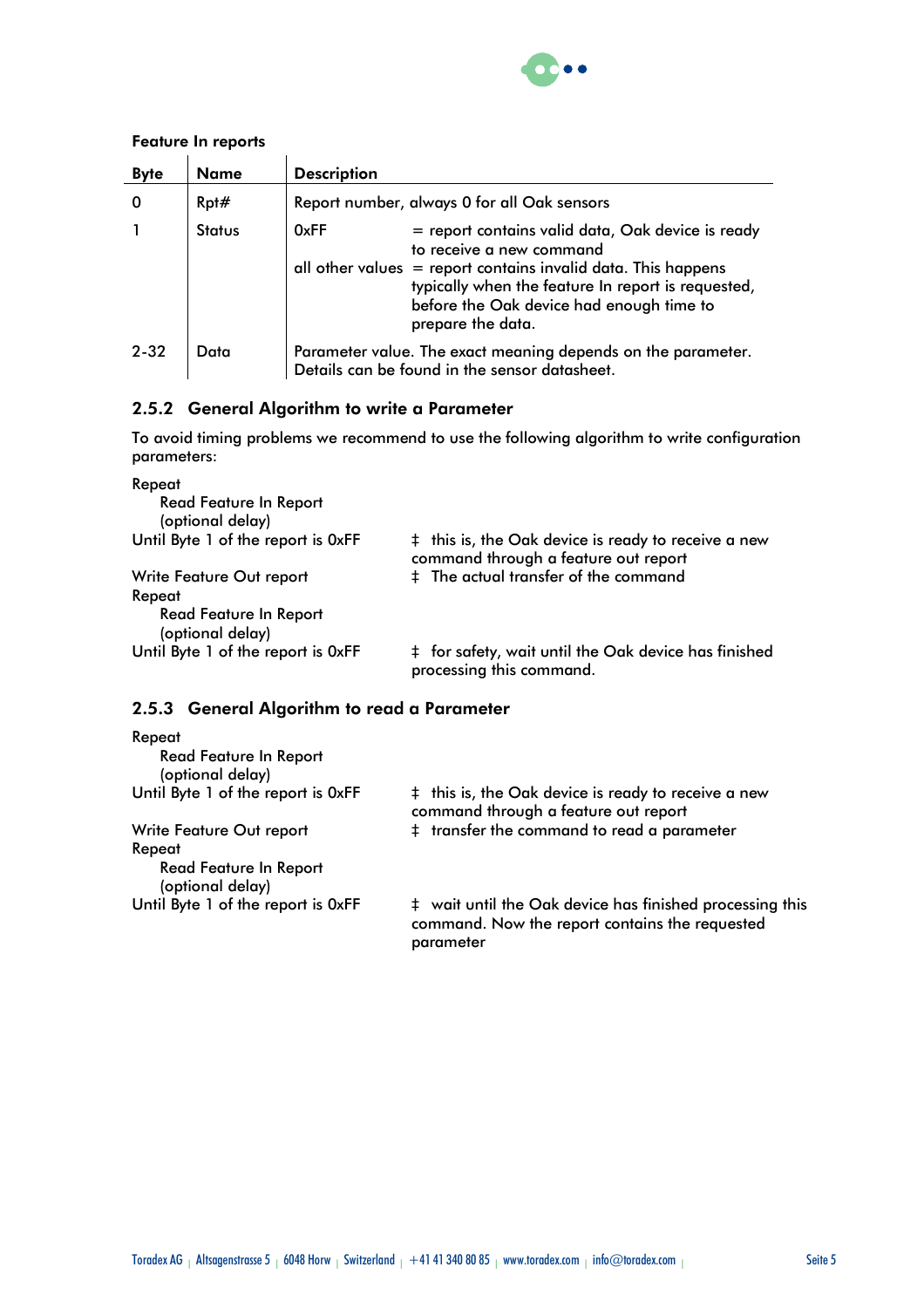

#### Feature In reports

| <b>Byte</b> | <b>Name</b>   | <b>Description</b>                                                                                                                                                                                                                                                              |
|-------------|---------------|---------------------------------------------------------------------------------------------------------------------------------------------------------------------------------------------------------------------------------------------------------------------------------|
|             | Rpt#          | Report number, always 0 for all Oak sensors                                                                                                                                                                                                                                     |
|             | <b>Status</b> | 0xFF<br>= report contains valid data, Oak device is ready<br>to receive a new command<br>all other values $=$ report contains invalid data. This happens<br>typically when the feature In report is requested,<br>before the Oak device had enough time to<br>prepare the data. |
| $2 - 32$    | Data          | Parameter value. The exact meaning depends on the parameter.<br>Details can be found in the sensor datasheet.                                                                                                                                                                   |

### 2.5.2 General Algorithm to write a Parameter

To avoid timing problems we recommend to use the following algorithm to write configuration parameters:

| Repeat                                            |                                                                                             |
|---------------------------------------------------|---------------------------------------------------------------------------------------------|
| <b>Read Feature In Report</b><br>(optional delay) |                                                                                             |
| Until Byte 1 of the report is OxFF                | à this is, the Oak device is ready to receive a new<br>command through a feature out report |
| Write Feature Out report                          | à The actual transfer of the command                                                        |
| Repeat                                            |                                                                                             |
| <b>Read Feature In Report</b><br>(optional delay) |                                                                                             |
| Until Byte 1 of the report is OxFF                | à for safety, wait until the Oak device has finished<br>processing this command.            |

# 2.5.3 General Algorithm to read a Parameter

| Repeat                                            |                                                                                                                         |
|---------------------------------------------------|-------------------------------------------------------------------------------------------------------------------------|
| <b>Read Feature In Report</b><br>(optional delay) |                                                                                                                         |
| Until Byte 1 of the report is OxFF                | à this is, the Oak device is ready to receive a new<br>command through a feature out report                             |
| Write Feature Out report                          | à transfer the command to read a parameter                                                                              |
| Repeat                                            |                                                                                                                         |
| <b>Read Feature In Report</b><br>(optional delay) |                                                                                                                         |
| Until Byte 1 of the report is OxFF                | à wait until the Oak device has finished processing this<br>command. Now the report contains the requested<br>parameter |
|                                                   |                                                                                                                         |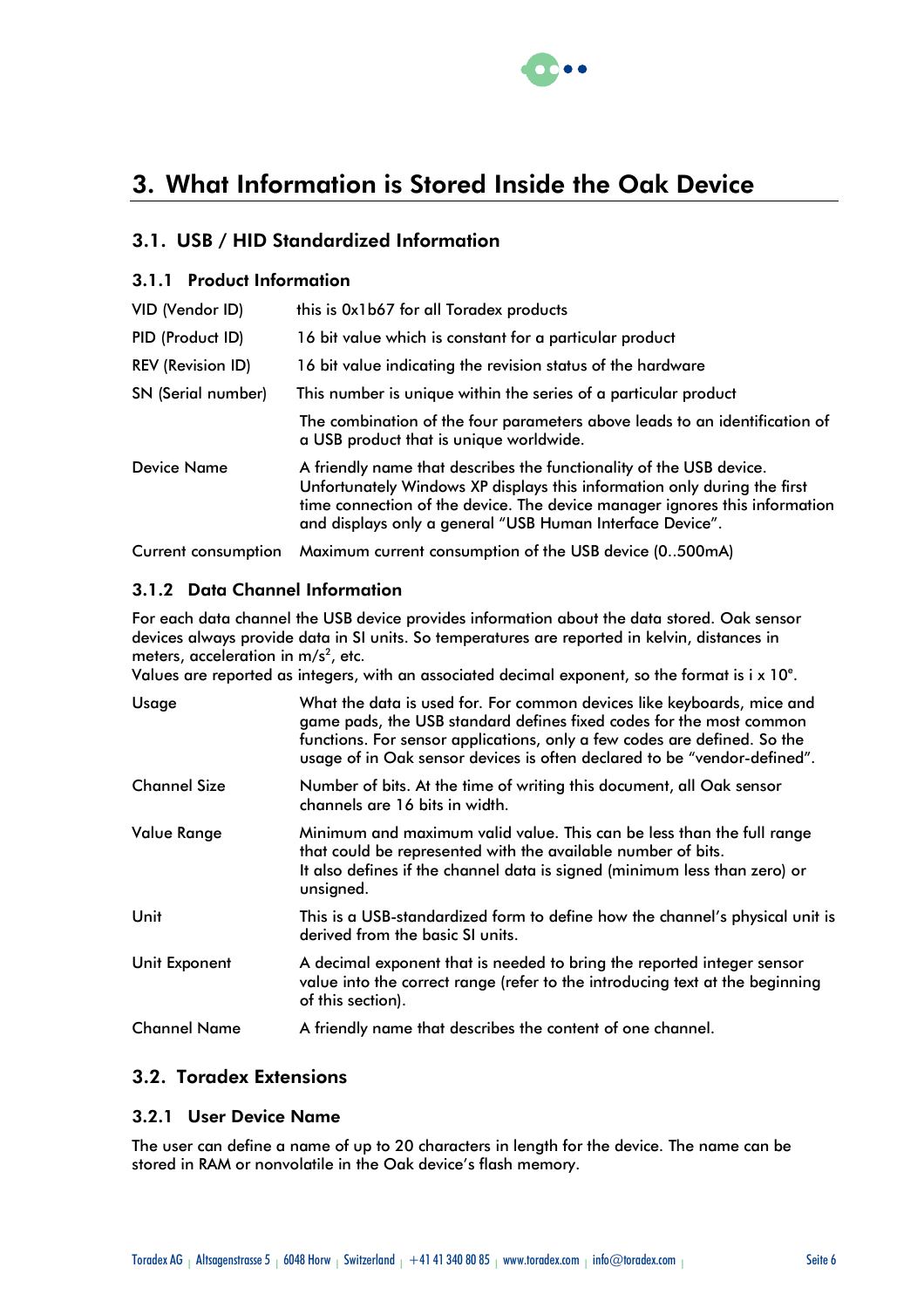

# 3. What Information is Stored Inside the Oak Device

# 3.1. USB / HID Standardized Information

### 3.1.1 Product Information

| VID (Vendor ID)    | this is 0x1b67 for all Toradex products                                                                                                                                                                                                                                                    |
|--------------------|--------------------------------------------------------------------------------------------------------------------------------------------------------------------------------------------------------------------------------------------------------------------------------------------|
| PID (Product ID)   | 16 bit value which is constant for a particular product                                                                                                                                                                                                                                    |
| REV (Revision ID)  | 16 bit value indicating the revision status of the hardware                                                                                                                                                                                                                                |
| SN (Serial number) | This number is unique within the series of a particular product                                                                                                                                                                                                                            |
|                    | The combination of the four parameters above leads to an identification of<br>a USB product that is unique worldwide.                                                                                                                                                                      |
| Device Name        | A friendly name that describes the functionality of the USB device.<br>Unfortunately Windows XP displays this information only during the first<br>time connection of the device. The device manager ignores this information<br>and displays only a general "USB Human Interface Device". |
|                    |                                                                                                                                                                                                                                                                                            |

Current consumption Maximum current consumption of the USB device (0..500mA)

### 3.1.2 Data Channel Information

For each data channel the USB device provides information about the data stored. Oak sensor devices always provide data in SI units. So temperatures are reported in kelvin, distances in meters, acceleration in m/s<sup>2</sup>, etc.

Values are reported as integers, with an associated decimal exponent, so the format is i x  $10^{\circ}$ .

| Usage               | What the data is used for. For common devices like keyboards, mice and<br>game pads, the USB standard defines fixed codes for the most common<br>functions. For sensor applications, only a few codes are defined. So the<br>usage of in Oak sensor devices is often declared to be "vendor-defined". |
|---------------------|-------------------------------------------------------------------------------------------------------------------------------------------------------------------------------------------------------------------------------------------------------------------------------------------------------|
| <b>Channel Size</b> | Number of bits. At the time of writing this document, all Oak sensor<br>channels are 16 bits in width.                                                                                                                                                                                                |
| <b>Value Range</b>  | Minimum and maximum valid value. This can be less than the full range<br>that could be represented with the available number of bits.<br>It also defines if the channel data is signed (minimum less than zero) or<br>unsigned.                                                                       |
| Unit                | This is a USB-standardized form to define how the channel's physical unit is<br>derived from the basic SI units.                                                                                                                                                                                      |
| Unit Exponent       | A decimal exponent that is needed to bring the reported integer sensor<br>value into the correct range (refer to the introducing text at the beginning<br>of this section).                                                                                                                           |
| <b>Channel Name</b> | A friendly name that describes the content of one channel.                                                                                                                                                                                                                                            |

### 3.2. Toradex Extensions

#### 3.2.1 User Device Name

The user can define a name of up to 20 characters in length for the device. The name can be stored in RAM or nonvolatile in the Oak device's flash memory.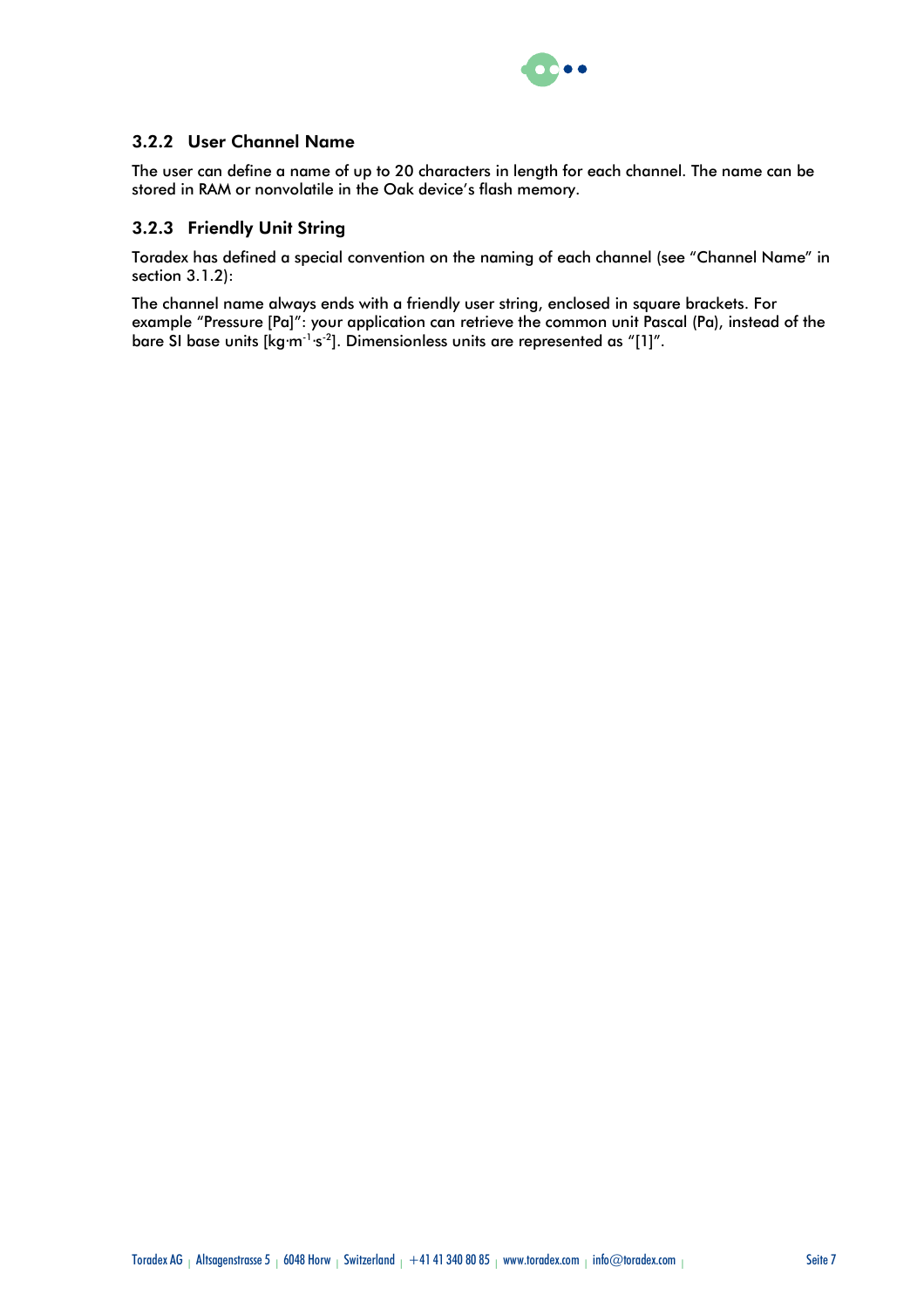

### 3.2.2 User Channel Name

The user can define a name of up to 20 characters in length for each channel. The name can be stored in RAM or nonvolatile in the Oak device's flash memory.

#### 3.2.3 Friendly Unit String

Toradex has defined a special convention on the naming of each channel (see "Channel Name" in section 3.1.2):

The channel name always ends with a friendly user string, enclosed in square brackets. For example "Pressure [Pa]": your application can retrieve the common unit Pascal (Pa), instead of the bare SI base units [kg·m<sup>-1</sup>·s<sup>-2</sup>]. Dimensionless units are represented as "[1]".